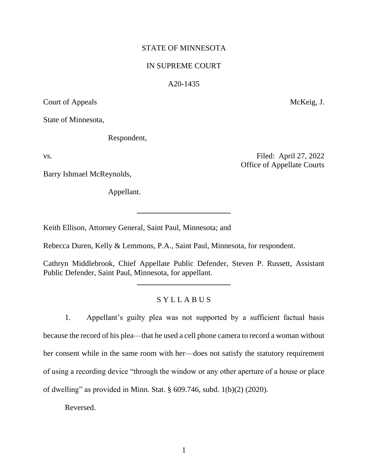## STATE OF MINNESOTA

### IN SUPREME COURT

#### A20-1435

Court of Appeals McKeig, J.

State of Minnesota,

Respondent,

Barry Ishmael McReynolds,

Appellant.

Keith Ellison, Attorney General, Saint Paul, Minnesota; and

Rebecca Duren, Kelly & Lemmons, P.A., Saint Paul, Minnesota, for respondent.

Cathryn Middlebrook, Chief Appellate Public Defender, Steven P. Russett, Assistant Public Defender, Saint Paul, Minnesota, for appellant.

**\_\_\_\_\_\_\_\_\_\_\_\_\_\_\_\_\_\_\_\_\_\_\_\_**

**\_\_\_\_\_\_\_\_\_\_\_\_\_\_\_\_\_\_\_\_\_\_\_\_**

# S Y L L A B U S

1. Appellant's guilty plea was not supported by a sufficient factual basis because the record of his plea—that he used a cell phone camera to record a woman without her consent while in the same room with her—does not satisfy the statutory requirement of using a recording device "through the window or any other aperture of a house or place of dwelling" as provided in Minn. Stat. § 609.746, subd. 1(b)(2) (2020).

Reversed.

vs. Filed: April 27, 2022 Office of Appellate Courts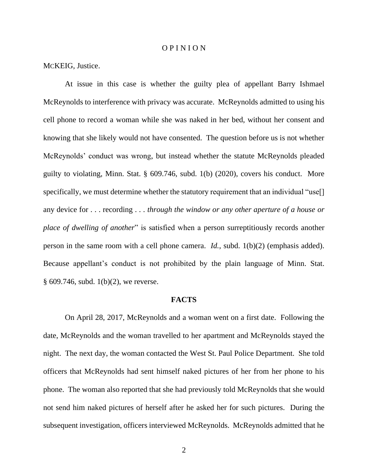#### O P I N I O N

MCKEIG, Justice.

At issue in this case is whether the guilty plea of appellant Barry Ishmael McReynolds to interference with privacy was accurate. McReynolds admitted to using his cell phone to record a woman while she was naked in her bed, without her consent and knowing that she likely would not have consented. The question before us is not whether McReynolds' conduct was wrong, but instead whether the statute McReynolds pleaded guilty to violating, Minn. Stat. § 609.746, subd. 1(b) (2020), covers his conduct. More specifically, we must determine whether the statutory requirement that an individual "use[] any device for . . . recording . . . *through the window or any other aperture of a house or place of dwelling of another*" is satisfied when a person surreptitiously records another person in the same room with a cell phone camera. *Id.*, subd. 1(b)(2) (emphasis added). Because appellant's conduct is not prohibited by the plain language of Minn. Stat. § 609.746, subd. 1(b)(2), we reverse.

### **FACTS**

On April 28, 2017, McReynolds and a woman went on a first date. Following the date, McReynolds and the woman travelled to her apartment and McReynolds stayed the night. The next day, the woman contacted the West St. Paul Police Department. She told officers that McReynolds had sent himself naked pictures of her from her phone to his phone. The woman also reported that she had previously told McReynolds that she would not send him naked pictures of herself after he asked her for such pictures. During the subsequent investigation, officers interviewed McReynolds. McReynolds admitted that he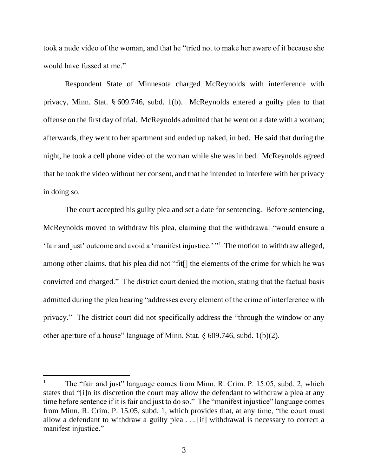took a nude video of the woman, and that he "tried not to make her aware of it because she would have fussed at me."

Respondent State of Minnesota charged McReynolds with interference with privacy, Minn. Stat. § 609.746, subd. 1(b). McReynolds entered a guilty plea to that offense on the first day of trial. McReynolds admitted that he went on a date with a woman; afterwards, they went to her apartment and ended up naked, in bed. He said that during the night, he took a cell phone video of the woman while she was in bed. McReynolds agreed that he took the video without her consent, and that he intended to interfere with her privacy in doing so.

The court accepted his guilty plea and set a date for sentencing. Before sentencing, McReynolds moved to withdraw his plea, claiming that the withdrawal "would ensure a 'fair and just' outcome and avoid a 'manifest injustice.' "<sup>1</sup> The motion to withdraw alleged, among other claims, that his plea did not "fit[] the elements of the crime for which he was convicted and charged." The district court denied the motion, stating that the factual basis admitted during the plea hearing "addresses every element of the crime of interference with privacy." The district court did not specifically address the "through the window or any other aperture of a house" language of Minn. Stat. § 609.746, subd. 1(b)(2).

<sup>&</sup>lt;sup>1</sup> The "fair and just" language comes from Minn. R. Crim. P. 15.05, subd. 2, which states that "[i]n its discretion the court may allow the defendant to withdraw a plea at any time before sentence if it is fair and just to do so." The "manifest injustice" language comes from Minn. R. Crim. P. 15.05, subd. 1, which provides that, at any time, "the court must allow a defendant to withdraw a guilty plea . . . [if] withdrawal is necessary to correct a manifest injustice."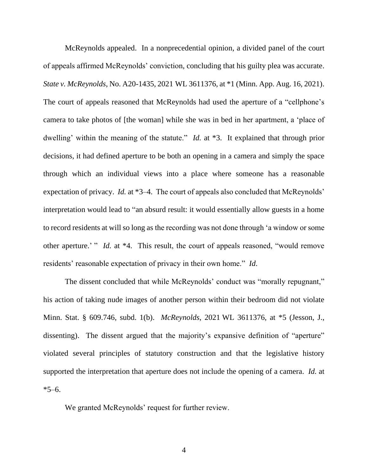McReynolds appealed. In a nonprecedential opinion, a divided panel of the court of appeals affirmed McReynolds' conviction, concluding that his guilty plea was accurate. *State v. McReynolds*, No. A20-1435, 2021 WL 3611376, at \*1 (Minn. App. Aug. 16, 2021). The court of appeals reasoned that McReynolds had used the aperture of a "cellphone's camera to take photos of [the woman] while she was in bed in her apartment, a 'place of dwelling' within the meaning of the statute." *Id.* at \*3. It explained that through prior decisions, it had defined aperture to be both an opening in a camera and simply the space through which an individual views into a place where someone has a reasonable expectation of privacy. *Id.* at \*3–4. The court of appeals also concluded that McReynolds' interpretation would lead to "an absurd result: it would essentially allow guests in a home to record residents at will so long as the recording was not done through 'a window or some other aperture.' " *Id.* at \*4. This result, the court of appeals reasoned, "would remove residents' reasonable expectation of privacy in their own home." *Id*.

The dissent concluded that while McReynolds' conduct was "morally repugnant," his action of taking nude images of another person within their bedroom did not violate Minn. Stat. § 609.746, subd. 1(b). *McReynolds*, 2021 WL 3611376, at \*5 (Jesson, J., dissenting). The dissent argued that the majority's expansive definition of "aperture" violated several principles of statutory construction and that the legislative history supported the interpretation that aperture does not include the opening of a camera. *Id.* at  $*5–6.$ 

We granted McReynolds' request for further review.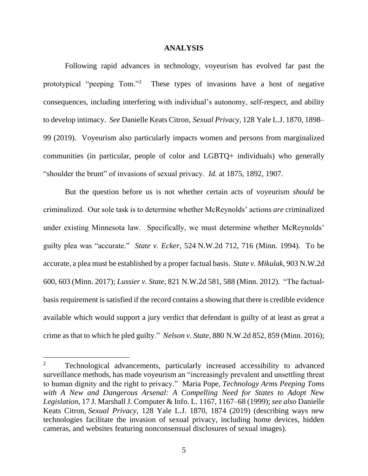### **ANALYSIS**

Following rapid advances in technology, voyeurism has evolved far past the prototypical "peeping Tom."<sup>2</sup> These types of invasions have a host of negative consequences, including interfering with individual's autonomy, self-respect, and ability to develop intimacy. *See* Danielle Keats Citron, *Sexual Privacy*, 128 Yale L.J. 1870, 1898– 99 (2019). Voyeurism also particularly impacts women and persons from marginalized communities (in particular, people of color and LGBTQ+ individuals) who generally "shoulder the brunt" of invasions of sexual privacy. *Id.* at 1875, 1892, 1907.

But the question before us is not whether certain acts of voyeurism *should* be criminalized. Our sole task is to determine whether McReynolds' actions *are* criminalized under existing Minnesota law. Specifically, we must determine whether McReynolds' guilty plea was "accurate." *State v. Ecker*, 524 N.W.2d 712, 716 (Minn. 1994). To be accurate, a plea must be established by a proper factual basis. *State v. Mikulak*, 903 N.W.2d 600, 603 (Minn. 2017); *Lussier v. State*, 821 N.W.2d 581, 588 (Minn. 2012). "The factualbasis requirement is satisfied if the record contains a showing that there is credible evidence available which would support a jury verdict that defendant is guilty of at least as great a crime as that to which he pled guilty." *Nelson v. State*, 880 N.W.2d 852, 859 (Minn. 2016);

<sup>&</sup>lt;sup>2</sup> Technological advancements, particularly increased accessibility to advanced surveillance methods, has made voyeurism an "increasingly prevalent and unsettling threat to human dignity and the right to privacy." Maria Pope, *Technology Arms Peeping Toms with A New and Dangerous Arsenal: A Compelling Need for States to Adopt New Legislation*, 17 J. Marshall J. Computer & Info. L. 1167, 1167–68 (1999); *see also* Danielle Keats Citron, *Sexual Privacy*, 128 Yale L.J. 1870, 1874 (2019) (describing ways new technologies facilitate the invasion of sexual privacy, including home devices, hidden cameras, and websites featuring nonconsensual disclosures of sexual images).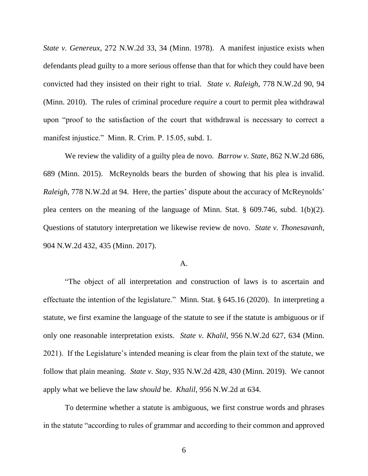*State v. Genereux*, 272 N.W.2d 33, 34 (Minn. 1978). A manifest injustice exists when defendants plead guilty to a more serious offense than that for which they could have been convicted had they insisted on their right to trial. *State v. Raleigh*, 778 N.W.2d 90, 94 (Minn. 2010). The rules of criminal procedure *require* a court to permit plea withdrawal upon "proof to the satisfaction of the court that withdrawal is necessary to correct a manifest injustice." Minn. R. Crim. P. 15.05, subd. 1.

We review the validity of a guilty plea de novo. *Barrow v. State*, 862 N.W.2d 686, 689 (Minn. 2015). McReynolds bears the burden of showing that his plea is invalid. *Raleigh*, 778 N.W.2d at 94. Here, the parties' dispute about the accuracy of McReynolds' plea centers on the meaning of the language of Minn. Stat. § 609.746, subd. 1(b)(2). Questions of statutory interpretation we likewise review de novo. *State v. Thonesavanh*, 904 N.W.2d 432, 435 (Minn. 2017).

### A.

"The object of all interpretation and construction of laws is to ascertain and effectuate the intention of the legislature." Minn. Stat. § 645.16 (2020). In interpreting a statute, we first examine the language of the statute to see if the statute is ambiguous or if only one reasonable interpretation exists. *State v. Khalil*, 956 N.W.2d 627, 634 (Minn. 2021). If the Legislature's intended meaning is clear from the plain text of the statute, we follow that plain meaning. *State v. Stay*, 935 N.W.2d 428, 430 (Minn. 2019). We cannot apply what we believe the law *should* be. *Khalil*, 956 N.W.2d at 634.

To determine whether a statute is ambiguous, we first construe words and phrases in the statute "according to rules of grammar and according to their common and approved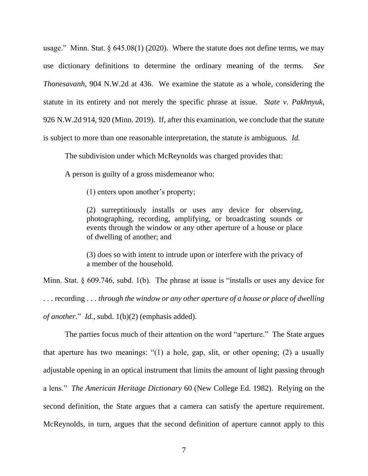usage." Minn. Stat.  $\S 645.08(1)$  (2020). Where the statute does not define terms, we may use dictionary definitions to determine the ordinary meaning of the terms. *See Thonesavanh*, 904 N.W.2d at 436. We examine the statute as a whole, considering the statute in its entirety and not merely the specific phrase at issue. *State v. Pakhnyuk*, 926 N.W.2d 914, 920 (Minn. 2019). If, after this examination, we conclude that the statute is subject to more than one reasonable interpretation, the statute is ambiguous. *Id.*

The subdivision under which McReynolds was charged provides that:

A person is guilty of a gross misdemeanor who:

(1) enters upon another's property;

(2) surreptitiously installs or uses any device for observing, photographing, recording, amplifying, or broadcasting sounds or events through the window or any other aperture of a house or place of dwelling of another; and

(3) does so with intent to intrude upon or interfere with the privacy of a member of the household.

Minn. Stat. § 609.746, subd. 1(b). The phrase at issue is "installs or uses any device for . . . recording . . . *through the window or any other aperture of a house or place of dwelling of another*." *Id.*, subd. 1(b)(2) (emphasis added).

The parties focus much of their attention on the word "aperture." The State argues that aperture has two meanings: "(1) a hole, gap, slit, or other opening; (2) a usually adjustable opening in an optical instrument that limits the amount of light passing through a lens." *The American Heritage Dictionary* 60 (New College Ed. 1982). Relying on the second definition, the State argues that a camera can satisfy the aperture requirement. McReynolds, in turn, argues that the second definition of aperture cannot apply to this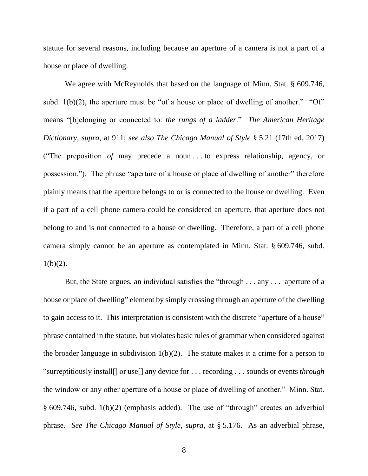statute for several reasons, including because an aperture of a camera is not a part of a house or place of dwelling.

We agree with McReynolds that based on the language of Minn. Stat. § 609.746, subd.  $1(b)(2)$ , the aperture must be "of a house or place of dwelling of another." "Of" means "[b]elonging or connected to: *the rungs of a ladder*." *The American Heritage Dictionary*, *supra*, at 911; *see also The Chicago Manual of Style* § 5.21 (17th ed. 2017) ("The preposition *of* may precede a noun . . . to express relationship, agency, or possession."). The phrase "aperture of a house or place of dwelling of another" therefore plainly means that the aperture belongs to or is connected to the house or dwelling. Even if a part of a cell phone camera could be considered an aperture, that aperture does not belong to and is not connected to a house or dwelling. Therefore, a part of a cell phone camera simply cannot be an aperture as contemplated in Minn. Stat. § 609.746, subd.  $1(b)(2)$ .

But, the State argues, an individual satisfies the "through . . . any . . . aperture of a house or place of dwelling" element by simply crossing through an aperture of the dwelling to gain access to it. This interpretation is consistent with the discrete "aperture of a house" phrase contained in the statute, but violates basic rules of grammar when considered against the broader language in subdivision  $1(b)(2)$ . The statute makes it a crime for a person to "surreptitiously install[] or use[] any device for . . . recording . . . sounds or events *through* the window or any other aperture of a house or place of dwelling of another." Minn. Stat. § 609.746, subd. 1(b)(2) (emphasis added). The use of "through" creates an adverbial phrase. *See The Chicago Manual of Style*, *supra*, at § 5.176. As an adverbial phrase,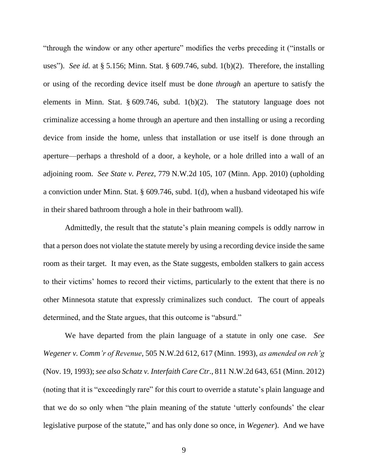"through the window or any other aperture" modifies the verbs preceding it ("installs or uses"). *See id.* at § 5.156; Minn. Stat. § 609.746, subd. 1(b)(2). Therefore, the installing or using of the recording device itself must be done *through* an aperture to satisfy the elements in Minn. Stat. § 609.746, subd. 1(b)(2). The statutory language does not criminalize accessing a home through an aperture and then installing or using a recording device from inside the home, unless that installation or use itself is done through an aperture—perhaps a threshold of a door, a keyhole, or a hole drilled into a wall of an adjoining room. *See State v. Perez*, 779 N.W.2d 105, 107 (Minn. App. 2010) (upholding a conviction under Minn. Stat. § 609.746, subd. 1(d), when a husband videotaped his wife in their shared bathroom through a hole in their bathroom wall).

Admittedly, the result that the statute's plain meaning compels is oddly narrow in that a person does not violate the statute merely by using a recording device inside the same room as their target. It may even, as the State suggests, embolden stalkers to gain access to their victims' homes to record their victims, particularly to the extent that there is no other Minnesota statute that expressly criminalizes such conduct. The court of appeals determined, and the State argues, that this outcome is "absurd."

We have departed from the plain language of a statute in only one case. *See Wegener v. Comm'r of Revenue*, 505 N.W.2d 612, 617 (Minn. 1993), *as amended on reh'g* (Nov. 19, 1993); *see also Schatz v. Interfaith Care Ctr*., 811 N.W.2d 643, 651 (Minn. 2012) (noting that it is "exceedingly rare" for this court to override a statute's plain language and that we do so only when "the plain meaning of the statute 'utterly confounds' the clear legislative purpose of the statute," and has only done so once, in *Wegener*). And we have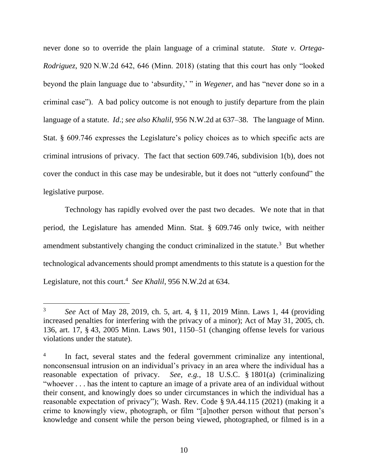never done so to override the plain language of a criminal statute. *State v. Ortega-Rodriguez*, 920 N.W.2d 642, 646 (Minn. 2018) (stating that this court has only "looked beyond the plain language due to 'absurdity,' " in *Wegener*, and has "never done so in a criminal case"). A bad policy outcome is not enough to justify departure from the plain language of a statute. *Id*.; *see also Khalil*, 956 N.W.2d at 637–38. The language of Minn. Stat. § 609.746 expresses the Legislature's policy choices as to which specific acts are criminal intrusions of privacy. The fact that section 609.746, subdivision 1(b), does not cover the conduct in this case may be undesirable, but it does not "utterly confound" the legislative purpose.

Technology has rapidly evolved over the past two decades. We note that in that period, the Legislature has amended Minn. Stat. § 609.746 only twice, with neither amendment substantively changing the conduct criminalized in the statute.<sup>3</sup> But whether technological advancements should prompt amendments to this statute is a question for the Legislature, not this court. 4 *See Khalil*, 956 N.W.2d at 634.

<sup>3</sup> *See* Act of May 28, 2019, ch. 5, art. 4, § 11, 2019 Minn. Laws 1, 44 (providing increased penalties for interfering with the privacy of a minor); Act of May 31, 2005, ch. 136, art. 17, § 43, 2005 Minn. Laws 901, 1150–51 (changing offense levels for various violations under the statute).

<sup>4</sup> In fact, several states and the federal government criminalize any intentional, nonconsensual intrusion on an individual's privacy in an area where the individual has a reasonable expectation of privacy. *See, e.g.*, 18 U.S.C. § 1801(a) (criminalizing "whoever . . . has the intent to capture an image of a private area of an individual without their consent, and knowingly does so under circumstances in which the individual has a reasonable expectation of privacy"); Wash. Rev. Code § 9A.44.115 (2021) (making it a crime to knowingly view, photograph, or film "[a]nother person without that person's knowledge and consent while the person being viewed, photographed, or filmed is in a